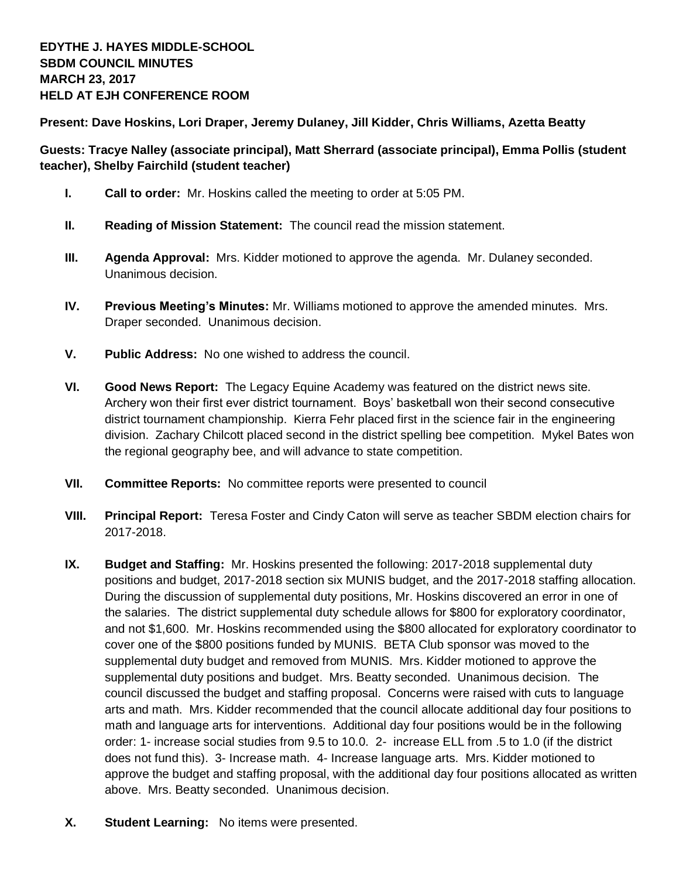**Present: Dave Hoskins, Lori Draper, Jeremy Dulaney, Jill Kidder, Chris Williams, Azetta Beatty**

**Guests: Tracye Nalley (associate principal), Matt Sherrard (associate principal), Emma Pollis (student teacher), Shelby Fairchild (student teacher)**

- **I. Call to order:** Mr. Hoskins called the meeting to order at 5:05 PM.
- **II. Reading of Mission Statement:** The council read the mission statement.
- **III. Agenda Approval:** Mrs. Kidder motioned to approve the agenda. Mr. Dulaney seconded. Unanimous decision.
- **IV. Previous Meeting's Minutes:** Mr. Williams motioned to approve the amended minutes. Mrs. Draper seconded. Unanimous decision.
- **V. Public Address:** No one wished to address the council.
- **VI. Good News Report:** The Legacy Equine Academy was featured on the district news site. Archery won their first ever district tournament. Boys' basketball won their second consecutive district tournament championship. Kierra Fehr placed first in the science fair in the engineering division. Zachary Chilcott placed second in the district spelling bee competition. Mykel Bates won the regional geography bee, and will advance to state competition.
- **VII. Committee Reports:** No committee reports were presented to council
- **VIII. Principal Report:** Teresa Foster and Cindy Caton will serve as teacher SBDM election chairs for 2017-2018.
- **IX. Budget and Staffing:** Mr. Hoskins presented the following: 2017-2018 supplemental duty positions and budget, 2017-2018 section six MUNIS budget, and the 2017-2018 staffing allocation. During the discussion of supplemental duty positions, Mr. Hoskins discovered an error in one of the salaries. The district supplemental duty schedule allows for \$800 for exploratory coordinator, and not \$1,600. Mr. Hoskins recommended using the \$800 allocated for exploratory coordinator to cover one of the \$800 positions funded by MUNIS. BETA Club sponsor was moved to the supplemental duty budget and removed from MUNIS. Mrs. Kidder motioned to approve the supplemental duty positions and budget. Mrs. Beatty seconded. Unanimous decision. The council discussed the budget and staffing proposal. Concerns were raised with cuts to language arts and math. Mrs. Kidder recommended that the council allocate additional day four positions to math and language arts for interventions. Additional day four positions would be in the following order: 1- increase social studies from 9.5 to 10.0. 2- increase ELL from .5 to 1.0 (if the district does not fund this). 3- Increase math. 4- Increase language arts. Mrs. Kidder motioned to approve the budget and staffing proposal, with the additional day four positions allocated as written above. Mrs. Beatty seconded. Unanimous decision.
- **X. Student Learning:** No items were presented.